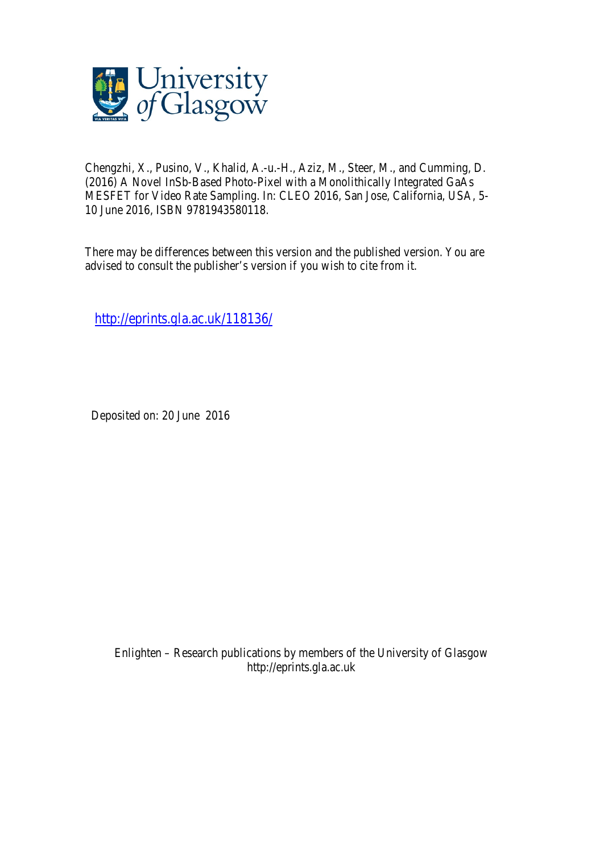

Chengzhi, X., Pusino, V., Khalid, A.-u.-H., Aziz, M., Steer, M., and Cumming, D. (2016) A Novel InSb-Based Photo-Pixel with a Monolithically Integrated GaAs MESFET for Video Rate Sampling. In: CLEO 2016, San Jose, California, USA, 5- 10 June 2016, ISBN 9781943580118.

There may be differences between this version and the published version. You are advised to consult the publisher's version if you wish to cite from it.

http://eprints.gla.ac.uk/118136/

Deposited on: 20 June 2016

Enlighten – Research publications by members of the University of Glasgow http://eprints.gla.ac.uk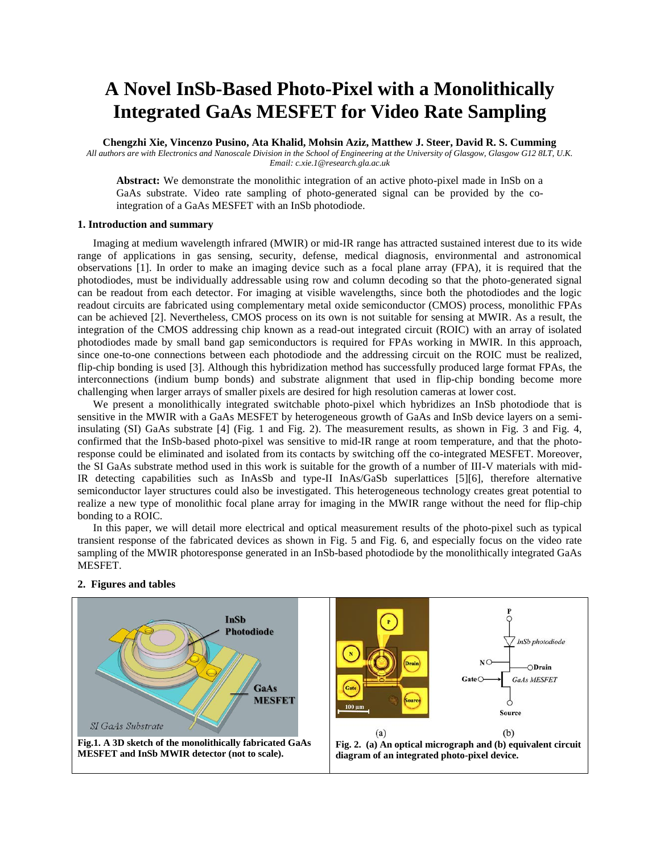## **A Novel InSb-Based Photo-Pixel with a Monolithically Integrated GaAs MESFET for Video Rate Sampling**

**Chengzhi Xie, Vincenzo Pusino, Ata Khalid, Mohsin Aziz, Matthew J. Steer, David R. S. Cumming**

*All authors are with Electronics and Nanoscale Division in the School of Engineering at the University of Glasgow, Glasgow G12 8LT, U.K. Email: c.xie.1@research.gla.ac.uk*

**Abstract:** We demonstrate the monolithic integration of an active photo-pixel made in InSb on a GaAs substrate. Video rate sampling of photo-generated signal can be provided by the cointegration of a GaAs MESFET with an InSb photodiode.

## **1. Introduction and summary**

Imaging at medium wavelength infrared (MWIR) or mid-IR range has attracted sustained interest due to its wide range of applications in gas sensing, security, defense, medical diagnosis, environmental and astronomical observations [1]. In order to make an imaging device such as a focal plane array (FPA), it is required that the photodiodes, must be individually addressable using row and column decoding so that the photo-generated signal can be readout from each detector. For imaging at visible wavelengths, since both the photodiodes and the logic readout circuits are fabricated using complementary metal oxide semiconductor (CMOS) process, monolithic FPAs can be achieved [2]. Nevertheless, CMOS process on its own is not suitable for sensing at MWIR. As a result, the integration of the CMOS addressing chip known as a read-out integrated circuit (ROIC) with an array of isolated photodiodes made by small band gap semiconductors is required for FPAs working in MWIR. In this approach, since one-to-one connections between each photodiode and the addressing circuit on the ROIC must be realized, flip-chip bonding is used [3]. Although this hybridization method has successfully produced large format FPAs, the interconnections (indium bump bonds) and substrate alignment that used in flip-chip bonding become more challenging when larger arrays of smaller pixels are desired for high resolution cameras at lower cost.

We present a monolithically integrated switchable photo-pixel which hybridizes an InSb photodiode that is sensitive in the MWIR with a GaAs MESFET by heterogeneous growth of GaAs and InSb device layers on a semiinsulating (SI) GaAs substrate [4] (Fig. 1 and Fig. 2). The measurement results, as shown in Fig. 3 and Fig. 4, confirmed that the InSb-based photo-pixel was sensitive to mid-IR range at room temperature, and that the photoresponse could be eliminated and isolated from its contacts by switching off the co-integrated MESFET. Moreover, the SI GaAs substrate method used in this work is suitable for the growth of a number of III-V materials with mid-IR detecting capabilities such as InAsSb and type-II InAs/GaSb superlattices [5][6], therefore alternative semiconductor layer structures could also be investigated. This heterogeneous technology creates great potential to realize a new type of monolithic focal plane array for imaging in the MWIR range without the need for flip-chip bonding to a ROIC.

In this paper, we will detail more electrical and optical measurement results of the photo-pixel such as typical transient response of the fabricated devices as shown in Fig. 5 and Fig. 6, and especially focus on the video rate sampling of the MWIR photoresponse generated in an InSb-based photodiode by the monolithically integrated GaAs MESFET.



## **2. Figures and tables**